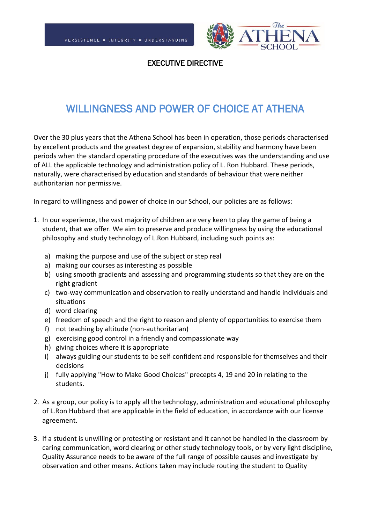

EXECUTIVE DIRECTIVE

## WILLINGNESS AND POWER OF CHOICE AT ATHENA

Over the 30 plus years that the Athena School has been in operation, those periods characterised by excellent products and the greatest degree of expansion, stability and harmony have been periods when the standard operating procedure of the executives was the understanding and use of ALL the applicable technology and administration policy of L. Ron Hubbard. These periods, naturally, were characterised by education and standards of behaviour that were neither authoritarian nor permissive.

In regard to willingness and power of choice in our School, our policies are as follows:

- 1. In our experience, the vast majority of children are very keen to play the game of being a student, that we offer. We aim to preserve and produce willingness by using the educational philosophy and study technology of L.Ron Hubbard, including such points as:
	- a) making the purpose and use of the subject or step real
	- a) making our courses as interesting as possible
	- b) using smooth gradients and assessing and programming students so that they are on the right gradient
	- c) two-way communication and observation to really understand and handle individuals and situations
	- d) word clearing
	- e) freedom of speech and the right to reason and plenty of opportunities to exercise them
	- f) not teaching by altitude (non-authoritarian)
	- g) exercising good control in a friendly and compassionate way
	- h) giving choices where it is appropriate
	- i) always guiding our students to be self-confident and responsible for themselves and their decisions
	- j) fully applying "How to Make Good Choices" precepts 4, 19 and 20 in relating to the students.
- 2. As a group, our policy is to apply all the technology, administration and educational philosophy of L.Ron Hubbard that are applicable in the field of education, in accordance with our license agreement.
- 3. If a student is unwilling or protesting or resistant and it cannot be handled in the classroom by caring communication, word clearing or other study technology tools, or by very light discipline, Quality Assurance needs to be aware of the full range of possible causes and investigate by observation and other means. Actions taken may include routing the student to Quality